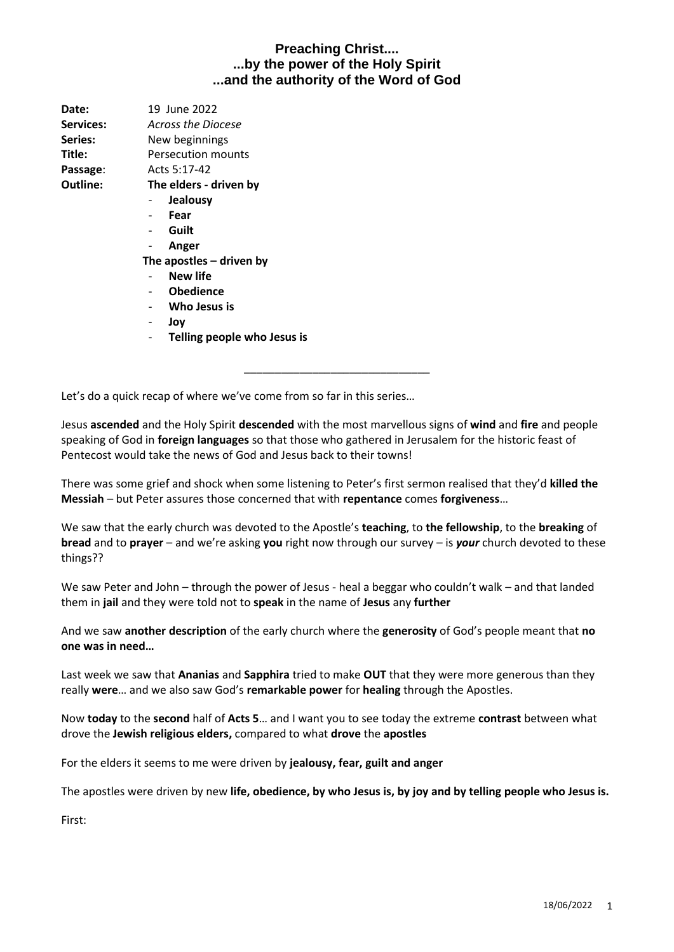| Date:     | 19 June 2022               |  |
|-----------|----------------------------|--|
| Services: | Across the Diocese         |  |
| Series:   | New beginnings             |  |
| Title:    | Persecution mounts         |  |
| Passage:  | Acts 5:17-42               |  |
| Outline:  | The elders - driven by     |  |
|           | <b>Jealousy</b>            |  |
|           | Fear                       |  |
|           | Guilt                      |  |
|           | Anger                      |  |
|           | The apostles $-$ driven by |  |
|           | <b>New life</b>            |  |
|           | <b>Obedience</b>           |  |
|           | Who Jesus is               |  |

- **Joy**
- **Telling people who Jesus is**

Let's do a quick recap of where we've come from so far in this series…

Jesus **ascended** and the Holy Spirit **descended** with the most marvellous signs of **wind** and **fire** and people speaking of God in **foreign languages** so that those who gathered in Jerusalem for the historic feast of Pentecost would take the news of God and Jesus back to their towns!

\_\_\_\_\_\_\_\_\_\_\_\_\_\_\_\_\_\_\_\_\_\_\_\_\_\_\_\_\_\_

There was some grief and shock when some listening to Peter's first sermon realised that they'd **killed the Messiah** – but Peter assures those concerned that with **repentance** comes **forgiveness**…

We saw that the early church was devoted to the Apostle's **teaching**, to **the fellowship**, to the **breaking** of **bread** and to **prayer** – and we're asking **you** right now through our survey – is *your* church devoted to these things??

We saw Peter and John – through the power of Jesus - heal a beggar who couldn't walk – and that landed them in **jail** and they were told not to **speak** in the name of **Jesus** any **further**

And we saw **another description** of the early church where the **generosity** of God's people meant that **no one was in need…**

Last week we saw that **Ananias** and **Sapphira** tried to make **OUT** that they were more generous than they really **were**… and we also saw God's **remarkable power** for **healing** through the Apostles.

Now **today** to the **second** half of **Acts 5**… and I want you to see today the extreme **contrast** between what drove the **Jewish religious elders,** compared to what **drove** the **apostles**

For the elders it seems to me were driven by **jealousy, fear, guilt and anger**

The apostles were driven by new **life, obedience, by who Jesus is, by joy and by telling people who Jesus is.**

First: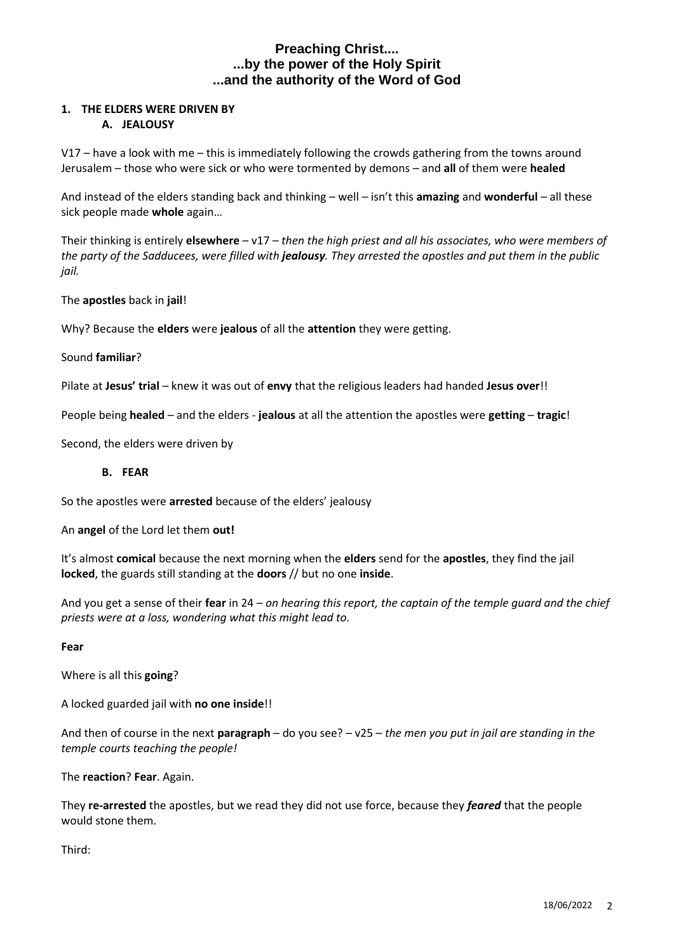#### **1. THE ELDERS WERE DRIVEN BY A. JEALOUSY**

V17 – have a look with me – this is immediately following the crowds gathering from the towns around Jerusalem – those who were sick or who were tormented by demons – and **all** of them were **healed**

And instead of the elders standing back and thinking – well – isn't this **amazing** and **wonderful** – all these sick people made **whole** again…

Their thinking is entirely **elsewhere** – v17 *– then the high priest and all his associates, who were members of the party of the Sadducees, were filled with jealousy. They arrested the apostles and put them in the public jail.*

The **apostles** back in **jail**!

Why? Because the **elders** were **jealous** of all the **attention** they were getting.

Sound **familiar**?

Pilate at **Jesus' trial** – knew it was out of **envy** that the religious leaders had handed **Jesus over**!!

People being **healed** – and the elders - **jealous** at all the attention the apostles were **getting** – **tragic**!

Second, the elders were driven by

#### **B. FEAR**

So the apostles were **arrested** because of the elders' jealousy

An **angel** of the Lord let them **out!**

It's almost **comical** because the next morning when the **elders** send for the **apostles**, they find the jail **locked**, the guards still standing at the **doors** // but no one **inside**.

And you get a sense of their **fear** in 24 – *on hearing this report, the captain of the temple guard and the chief priests were at a loss, wondering what this might lead to.*

#### **Fear**

Where is all this **going**?

A locked guarded jail with **no one inside**!!

And then of course in the next **paragraph** – do you see? – v25 – *the men you put in jail are standing in the temple courts teaching the people!*

The **reaction**? **Fear**. Again.

They **re-arrested** the apostles, but we read they did not use force, because they *feared* that the people would stone them.

Third: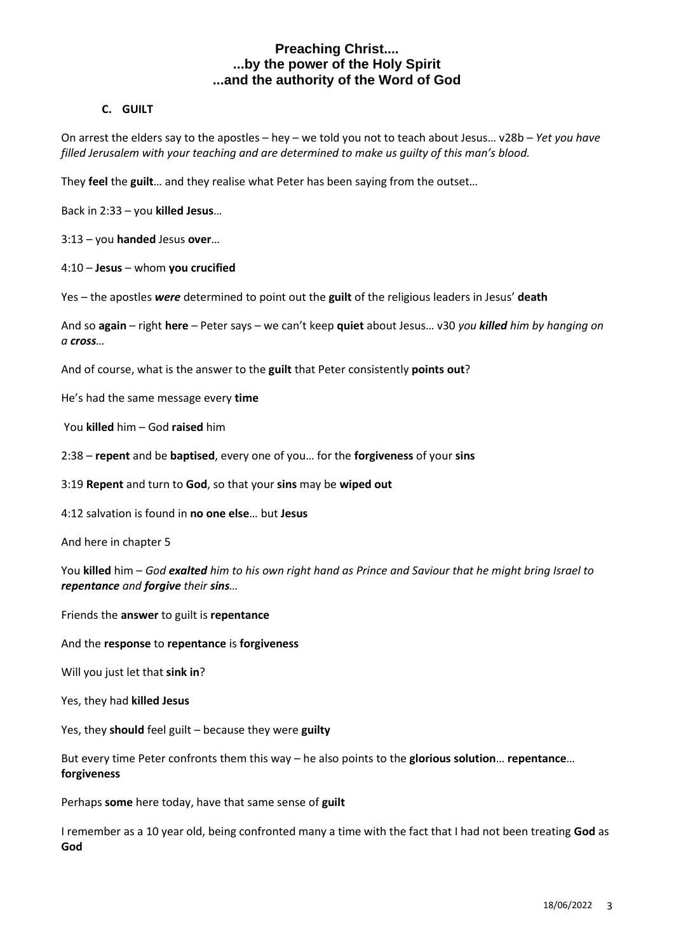### **C. GUILT**

On arrest the elders say to the apostles – hey – we told you not to teach about Jesus… v28b – *Yet you have filled Jerusalem with your teaching and are determined to make us guilty of this man's blood.*

They **feel** the **guilt**… and they realise what Peter has been saying from the outset…

Back in 2:33 – you **killed Jesus**…

3:13 – you **handed** Jesus **over**…

4:10 – **Jesus** – whom **you crucified**

Yes – the apostles *were* determined to point out the **guilt** of the religious leaders in Jesus' **death**

And so **again** – right **here** – Peter says – we can't keep **quiet** about Jesus… v30 *you killed him by hanging on a cross…*

And of course, what is the answer to the **guilt** that Peter consistently **points out**?

He's had the same message every **time**

You **killed** him – God **raised** him

2:38 – **repent** and be **baptised**, every one of you… for the **forgiveness** of your **sins**

3:19 **Repent** and turn to **God**, so that your **sins** may be **wiped out**

4:12 salvation is found in **no one else**… but **Jesus**

And here in chapter 5

You **killed** him – *God exalted him to his own right hand as Prince and Saviour that he might bring Israel to repentance and forgive their sins…*

Friends the **answer** to guilt is **repentance**

And the **response** to **repentance** is **forgiveness**

Will you just let that **sink in**?

Yes, they had **killed Jesus**

Yes, they **should** feel guilt – because they were **guilty**

But every time Peter confronts them this way – he also points to the **glorious solution**… **repentance**… **forgiveness**

Perhaps **some** here today, have that same sense of **guilt**

I remember as a 10 year old, being confronted many a time with the fact that I had not been treating **God** as **God**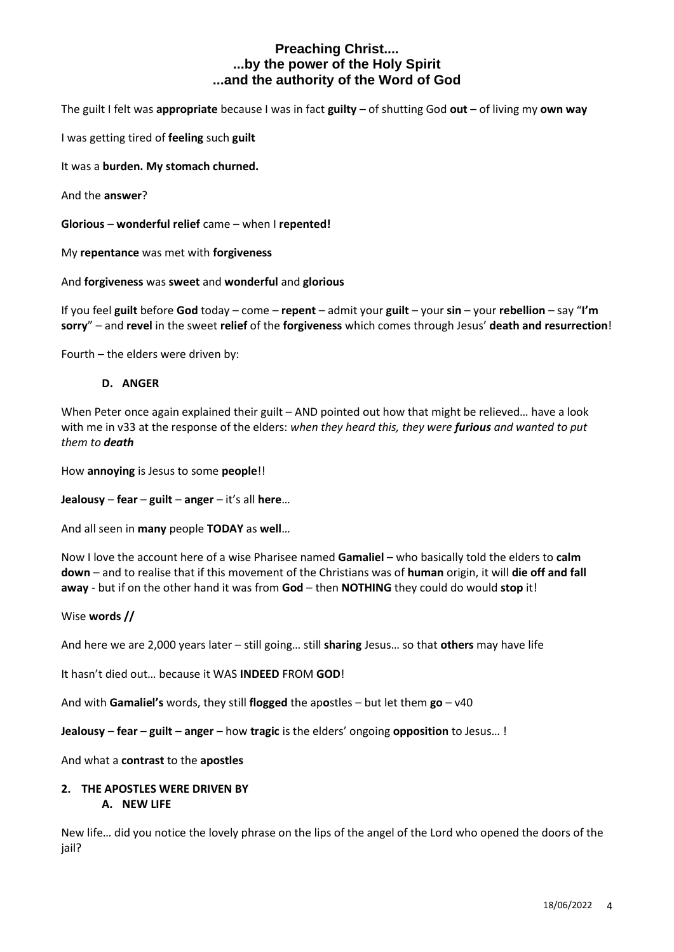The guilt I felt was **appropriate** because I was in fact **guilty** – of shutting God **out** – of living my **own way**

I was getting tired of **feeling** such **guilt**

It was a **burden. My stomach churned.**

And the **answer**?

**Glorious** – **wonderful relief** came – when I **repented!**

My **repentance** was met with **forgiveness**

And **forgiveness** was **sweet** and **wonderful** and **glorious**

If you feel **guilt** before **God** today – come – **repent** – admit your **guilt** – your **sin** – your **rebellion** – say "**I'm sorry**" – and **revel** in the sweet **relief** of the **forgiveness** which comes through Jesus' **death and resurrection**!

Fourth – the elders were driven by:

#### **D. ANGER**

When Peter once again explained their guilt – AND pointed out how that might be relieved... have a look with me in v33 at the response of the elders: *when they heard this, they were furious and wanted to put them to death*

How **annoying** is Jesus to some **people**!!

**Jealousy** – **fear** – **guilt** – **anger** – it's all **here**…

And all seen in **many** people **TODAY** as **well**…

Now I love the account here of a wise Pharisee named **Gamaliel** – who basically told the elders to **calm down** – and to realise that if this movement of the Christians was of **human** origin, it will **die off and fall away** - but if on the other hand it was from **God** – then **NOTHING** they could do would **stop** it!

Wise **words //**

And here we are 2,000 years later – still going… still **sharing** Jesus… so that **others** may have life

It hasn't died out… because it WAS **INDEED** FROM **GOD**!

And with **Gamaliel's** words, they still **flogged** the ap**o**stles – but let them **go** – v40

**Jealousy** – **fear** – **guilt** – **anger** – how **tragic** is the elders' ongoing **opposition** to Jesus… !

And what a **contrast** to the **apostles**

# **2. THE APOSTLES WERE DRIVEN BY**

# **A. NEW LIFE**

New life… did you notice the lovely phrase on the lips of the angel of the Lord who opened the doors of the jail?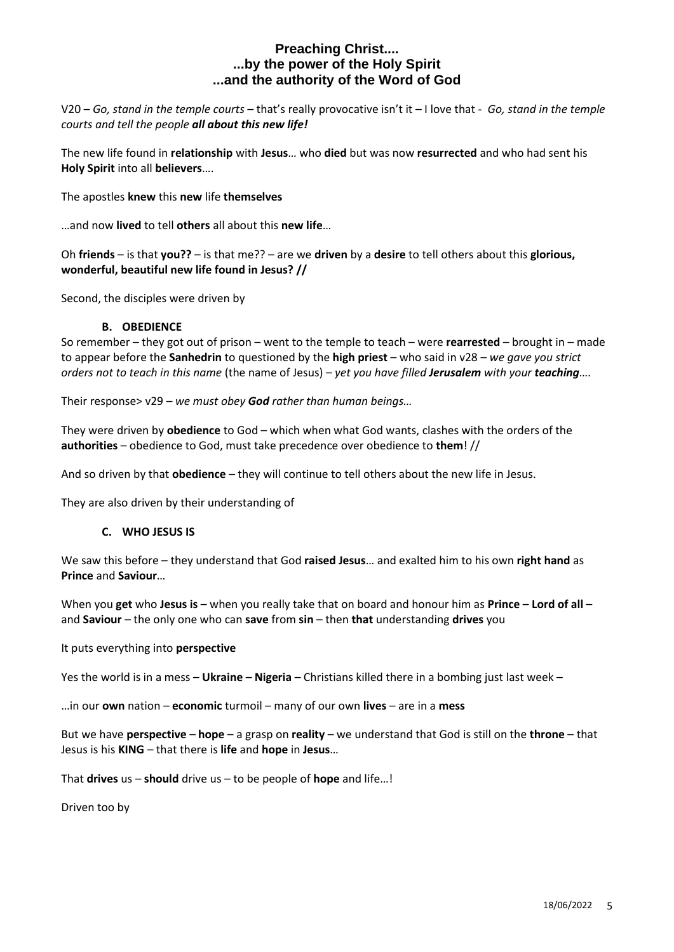V20 *– Go, stand in the temple courts –* that's really provocative isn't it – I love that - *Go, stand in the temple courts and tell the people all about this new life!*

The new life found in **relationship** with **Jesus**… who **died** but was now **resurrected** and who had sent his **Holy Spirit** into all **believers**….

The apostles **knew** this **new** life **themselves**

…and now **lived** to tell **others** all about this **new life**…

Oh **friends** – is that **you??** – is that me?? – are we **driven** by a **desire** to tell others about this **glorious, wonderful, beautiful new life found in Jesus? //**

Second, the disciples were driven by

#### **B. OBEDIENCE**

So remember – they got out of prison – went to the temple to teach – were **rearrested** – brought in – made to appear before the **Sanhedrin** to questioned by the **high priest** – who said in v28 – *we gave you strict orders not to teach in this name* (the name of Jesus) – *yet you have filled Jerusalem with your teaching….*

Their response> v29 *– we must obey God rather than human beings…*

They were driven by **obedience** to God – which when what God wants, clashes with the orders of the **authorities** – obedience to God, must take precedence over obedience to **them**! //

And so driven by that **obedience** – they will continue to tell others about the new life in Jesus.

They are also driven by their understanding of

#### **C. WHO JESUS IS**

We saw this before – they understand that God **raised Jesus**… and exalted him to his own **right hand** as **Prince** and **Saviour**…

When you **get** who **Jesus is** – when you really take that on board and honour him as **Prince** – **Lord of all** – and **Saviour** – the only one who can **save** from **sin** – then **that** understanding **drives** you

#### It puts everything into **perspective**

Yes the world is in a mess – **Ukraine** – **Nigeria** – Christians killed there in a bombing just last week –

…in our **own** nation – **economic** turmoil – many of our own **lives** – are in a **mess**

But we have **perspective** – **hope** – a grasp on **reality** – we understand that God is still on the **throne** – that Jesus is his **KING** – that there is **life** and **hope** in **Jesus**…

That **drives** us – **should** drive us – to be people of **hope** and life…!

Driven too by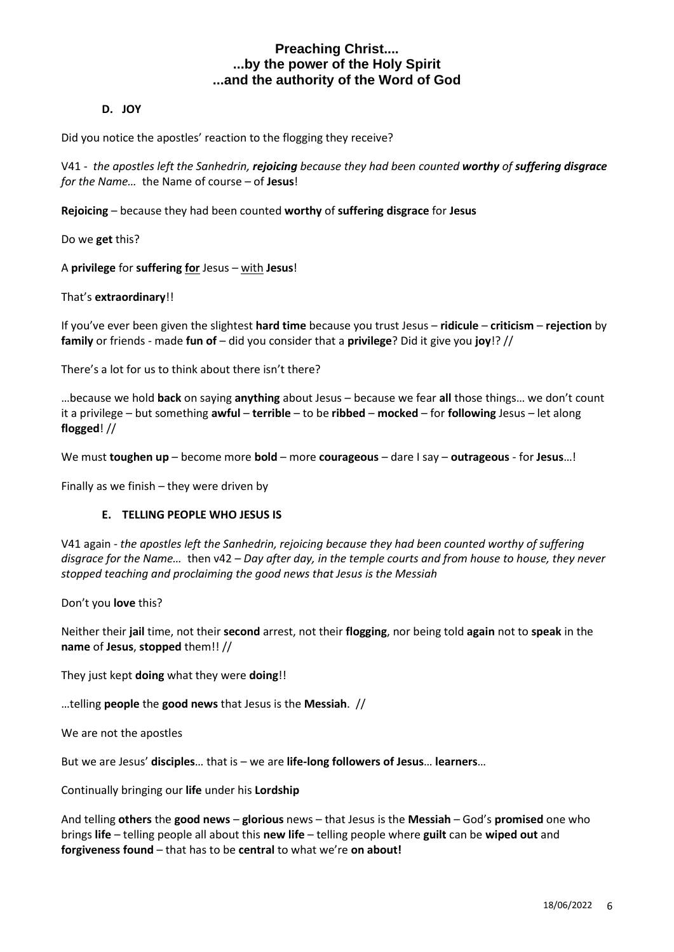### **D. JOY**

Did you notice the apostles' reaction to the flogging they receive?

V41 - *the apostles left the Sanhedrin, rejoicing because they had been counted worthy of suffering disgrace for the Name…* the Name of course – of **Jesus**!

**Rejoicing** – because they had been counted **worthy** of **suffering disgrace** for **Jesus**

Do we **get** this?

A **privilege** for **suffering for** Jesus – with **Jesus**!

That's **extraordinary**!!

If you've ever been given the slightest **hard time** because you trust Jesus – **ridicule** – **criticism** – **rejection** by **family** or friends - made **fun of** – did you consider that a **privilege**? Did it give you **joy**!? //

There's a lot for us to think about there isn't there?

…because we hold **back** on saying **anything** about Jesus – because we fear **all** those things… we don't count it a privilege – but something **awful** – **terrible** – to be **ribbed** – **mocked** – for **following** Jesus – let along **flogged**! //

We must **toughen up** – become more **bold** – more **courageous** – dare I say – **outrageous** - for **Jesus**…!

Finally as we finish – they were driven by

### **E. TELLING PEOPLE WHO JESUS IS**

V41 again - *the apostles left the Sanhedrin, rejoicing because they had been counted worthy of suffering disgrace for the Name…* then v42 – *Day after day, in the temple courts and from house to house, they never stopped teaching and proclaiming the good news that Jesus is the Messiah*

Don't you **love** this?

Neither their **jail** time, not their **second** arrest, not their **flogging**, nor being told **again** not to **speak** in the **name** of **Jesus**, **stopped** them!! //

They just kept **doing** what they were **doing**!!

…telling **people** the **good news** that Jesus is the **Messiah**. //

We are not the apostles

But we are Jesus' **disciples**… that is – we are **life-long followers of Jesus**… **learners**…

Continually bringing our **life** under his **Lordship**

And telling **others** the **good news** – **glorious** news – that Jesus is the **Messiah** – God's **promised** one who brings **life** – telling people all about this **new life** – telling people where **guilt** can be **wiped out** and **forgiveness found** – that has to be **central** to what we're **on about!**